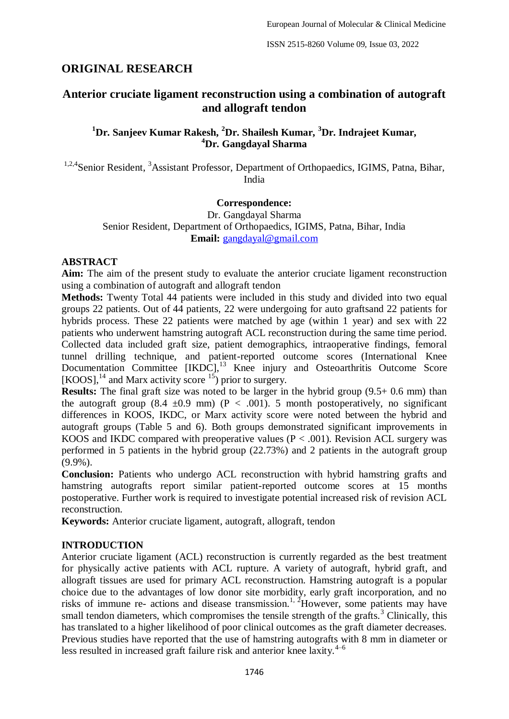# **ORIGINAL RESEARCH**

# **Anterior cruciate ligament reconstruction using a combination of autograft and allograft tendon**

**<sup>1</sup>Dr. Sanjeev Kumar Rakesh, <sup>2</sup>Dr. Shailesh Kumar, <sup>3</sup>Dr. Indrajeet Kumar, <sup>4</sup>Dr. Gangdayal Sharma**

<sup>1,2,4</sup>Senior Resident, <sup>3</sup>Assistant Professor, Department of Orthopaedics, IGIMS, Patna, Bihar, India

### **Correspondence:**

Dr. Gangdayal Sharma Senior Resident, Department of Orthopaedics, IGIMS, Patna, Bihar, India **Email:** [gangdayal@gmail.com](mailto:gangdayal@gmail.com)

## **ABSTRACT**

**Aim:** The aim of the present study to evaluate the anterior cruciate ligament reconstruction using a combination of autograft and allograft tendon

**Methods:** Twenty Total 44 patients were included in this study and divided into two equal groups 22 patients. Out of 44 patients, 22 were undergoing for auto graftsand 22 patients for hybrids process. These 22 patients were matched by age (within 1 year) and sex with 22 patients who underwent hamstring autograft ACL reconstruction during the same time period. Collected data included graft size, patient demographics, intraoperative findings, femoral tunnel drilling technique, and patient-reported outcome scores (International Knee Documentation Committee [IKDC],<sup>13</sup> Knee injury and Osteoarthritis Outcome Score [KOOS],<sup>14</sup> and Marx activity score  $\frac{15}{2}$  prior to surgery.

**Results:** The final graft size was noted to be larger in the hybrid group  $(9.5 + 0.6 \text{ mm})$  than the autograft group (8.4  $\pm$ 0.9 mm) (P < .001). 5 month postoperatively, no significant differences in KOOS, IKDC, or Marx activity score were noted between the hybrid and autograft groups (Table 5 and 6). Both groups demonstrated significant improvements in KOOS and IKDC compared with preoperative values ( $P < .001$ ). Revision ACL surgery was performed in 5 patients in the hybrid group (22.73%) and 2 patients in the autograft group (9.9%).

**Conclusion:** Patients who undergo ACL reconstruction with hybrid hamstring grafts and hamstring autografts report similar patient-reported outcome scores at 15 months postoperative. Further work is required to investigate potential increased risk of revision ACL reconstruction.

**Keywords:** Anterior cruciate ligament, autograft, allograft, tendon

## **INTRODUCTION**

Anterior cruciate ligament (ACL) reconstruction is currently regarded as the best treatment for physically active patients with ACL rupture. A variety of autograft, hybrid graft, and allograft tissues are used for primary ACL reconstruction. Hamstring autograft is a popular choice due to the advantages of low donor site morbidity, early graft incorporation, and no risks of immune re- actions and disease transmission.<sup>1, 2</sup>However, some patients may have small tendon diameters, which compromises the tensile strength of the grafts.<sup>3</sup> Clinically, this has translated to a higher likelihood of poor clinical outcomes as the graft diameter decreases. Previous studies have reported that the use of hamstring autografts with 8 mm in diameter or less resulted in increased graft failure risk and anterior knee laxity. $4-6$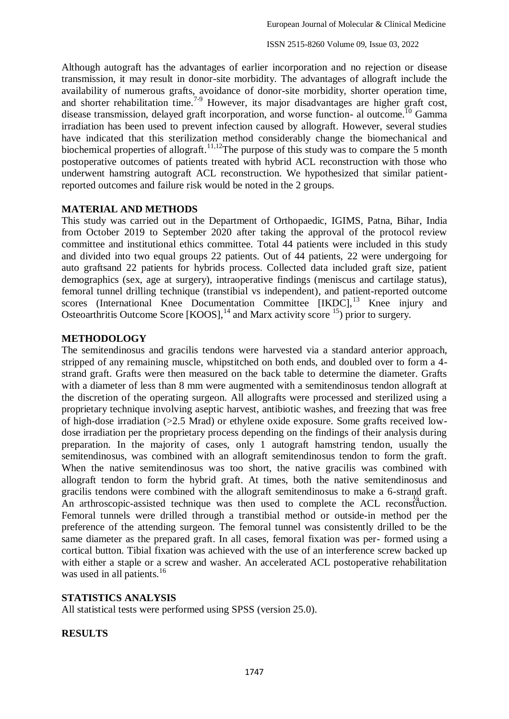ISSN 2515-8260 Volume 09, Issue 03, 2022

Although autograft has the advantages of earlier incorporation and no rejection or disease transmission, it may result in donor-site morbidity. The advantages of allograft include the availability of numerous grafts, avoidance of donor-site morbidity, shorter operation time, and shorter rehabilitation time.<sup>7-9</sup> However, its major disadvantages are higher graft cost, disease transmission, delayed graft incorporation, and worse function- al outcome.<sup>10</sup> Gamma irradiation has been used to prevent infection caused by allograft. However, several studies have indicated that this sterilization method considerably change the biomechanical and biochemical properties of allograft.<sup>11,12</sup>The purpose of this study was to compare the 5 month postoperative outcomes of patients treated with hybrid ACL reconstruction with those who underwent hamstring autograft ACL reconstruction. We hypothesized that similar patientreported outcomes and failure risk would be noted in the 2 groups.

## **MATERIAL AND METHODS**

This study was carried out in the Department of Orthopaedic, IGIMS, Patna, Bihar, India from October 2019 to September 2020 after taking the approval of the protocol review committee and institutional ethics committee. Total 44 patients were included in this study and divided into two equal groups 22 patients. Out of 44 patients, 22 were undergoing for auto graftsand 22 patients for hybrids process. Collected data included graft size, patient demographics (sex, age at surgery), intraoperative findings (meniscus and cartilage status), femoral tunnel drilling technique (transtibial vs independent), and patient-reported outcome scores (International Knee Documentation Committee  $[IKDC]$ ,<sup>13</sup> Knee injury and Osteoarthritis Outcome Score  $[KOOS]$ ,  $^{14}$  and Marx activity score  $^{15}$ ) prior to surgery.

## **METHODOLOGY**

An arthroscopic-assisted technique was then used to complete the ACL reconstruction. The semitendinosus and gracilis tendons were harvested via a standard anterior approach, stripped of any remaining muscle, whipstitched on both ends, and doubled over to form a 4 strand graft. Grafts were then measured on the back table to determine the diameter. Grafts with a diameter of less than 8 mm were augmented with a semitendinosus tendon allograft at the discretion of the operating surgeon. All allografts were processed and sterilized using a proprietary technique involving aseptic harvest, antibiotic washes, and freezing that was free of high-dose irradiation (>2.5 Mrad) or ethylene oxide exposure. Some grafts received lowdose irradiation per the proprietary process depending on the findings of their analysis during preparation. In the majority of cases, only 1 autograft hamstring tendon, usually the semitendinosus, was combined with an allograft semitendinosus tendon to form the graft. When the native semitendinosus was too short, the native gracilis was combined with allograft tendon to form the hybrid graft. At times, both the native semitendinosus and gracilis tendons were combined with the allograft semitendinosus to make a 6-strand graft. Femoral tunnels were drilled through a transtibial method or outside-in method per the preference of the attending surgeon. The femoral tunnel was consistently drilled to be the same diameter as the prepared graft. In all cases, femoral fixation was per- formed using a cortical button. Tibial fixation was achieved with the use of an interference screw backed up with either a staple or a screw and washer. An accelerated ACL postoperative rehabilitation was used in all patients.<sup>16</sup>

## **STATISTICS ANALYSIS**

All statistical tests were performed using SPSS (version 25.0).

## **RESULTS**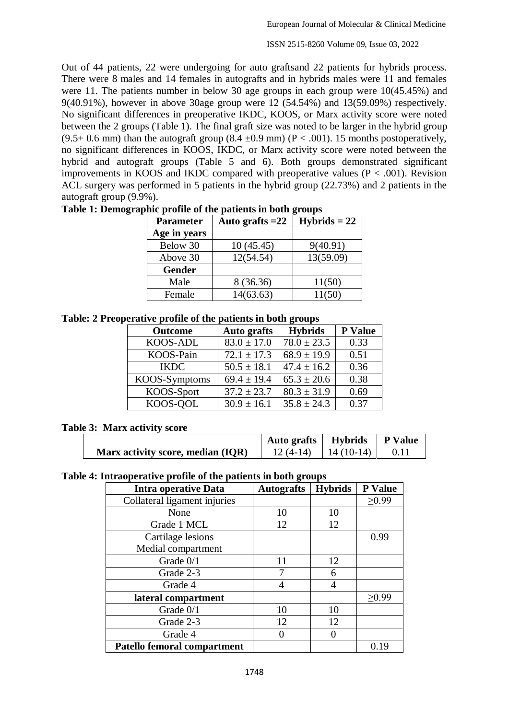ISSN 2515-8260 Volume 09, Issue 03, 2022

Out of 44 patients, 22 were undergoing for auto graftsand 22 patients for hybrids process. There were 8 males and 14 females in autografts and in hybrids males were 11 and females were 11. The patients number in below 30 age groups in each group were 10(45.45%) and 9(40.91%), however in above 30age group were 12 (54.54%) and 13(59.09%) respectively. No significant differences in preoperative IKDC, KOOS, or Marx activity score were noted between the 2 groups (Table 1). The final graft size was noted to be larger in the hybrid group  $(9.5+0.6 \text{ mm})$  than the autograft group  $(8.4 \pm 0.9 \text{ mm})$   $(P < .001)$ . 15 months postoperatively, no significant differences in KOOS, IKDC, or Marx activity score were noted between the hybrid and autograft groups (Table 5 and 6). Both groups demonstrated significant improvements in KOOS and IKDC compared with preoperative values ( $P < .001$ ). Revision ACL surgery was performed in 5 patients in the hybrid group (22.73%) and 2 patients in the autograft group (9.9%).

| <b>Parameter</b> | Auto grafts $=22$ | $Hybrids = 22$ |
|------------------|-------------------|----------------|
| Age in years     |                   |                |
| Below 30         | 10(45.45)         | 9(40.91)       |
| Above 30         | 12(54.54)         | 13(59.09)      |
| <b>Gender</b>    |                   |                |
| Male             | 8 (36.36)         | 11(50)         |
| Female           | 14(63.63)         | 11(50)         |

### **Table 1: Demographic profile of the patients in both groups**

**Table: 2 Preoperative profile of the patients in both groups**

| <b>Outcome</b> | <b>Auto</b> grafts | <b>Hybrids</b>  | P Value |
|----------------|--------------------|-----------------|---------|
| KOOS-ADL       | $83.0 \pm 17.0$    | $78.0 \pm 23.5$ | 0.33    |
| KOOS-Pain      | $72.1 \pm 17.3$    | $68.9 \pm 19.9$ | 0.51    |
| <b>IKDC</b>    | $50.5 \pm 18.1$    | $47.4 \pm 16.2$ | 0.36    |
| KOOS-Symptoms  | $69.4 \pm 19.4$    | $65.3 \pm 20.6$ | 0.38    |
| KOOS-Sport     | $37.2 \pm 23.7$    | $80.3 \pm 31.9$ | 0.69    |
| KOOS-QOL       | $30.9 \pm 16.1$    | $35.8 \pm 24.3$ | 0.37    |

#### **Table 3: Marx activity score**

|                                   | Auto grafts   Hybrids |             | <b>P</b> Value |
|-----------------------------------|-----------------------|-------------|----------------|
| Marx activity score, median (IQR) | $12(4-14)$            | $14(10-14)$ |                |

**Table 4: Intraoperative profile of the patients in both groups**

| <b>Intra operative Data</b>  | <b>Autografts</b> | <b>Hybrids</b> | P Value     |
|------------------------------|-------------------|----------------|-------------|
| Collateral ligament injuries |                   |                | $\geq 0.99$ |
| None                         | 10                | 10             |             |
| Grade 1 MCL                  | 12                | 12             |             |
| Cartilage lesions            |                   |                | 0.99        |
| Medial compartment           |                   |                |             |
| Grade 0/1                    | 11                | 12             |             |
| Grade 2-3                    |                   | 6              |             |
| Grade 4                      | 4                 |                |             |
| lateral compartment          |                   |                | >0.99       |
| Grade 0/1                    | 10                | 10             |             |
| Grade 2-3                    | 12                | 12             |             |
| Grade 4                      | 0                 |                |             |
| Patello femoral compartment  |                   |                | 0.19        |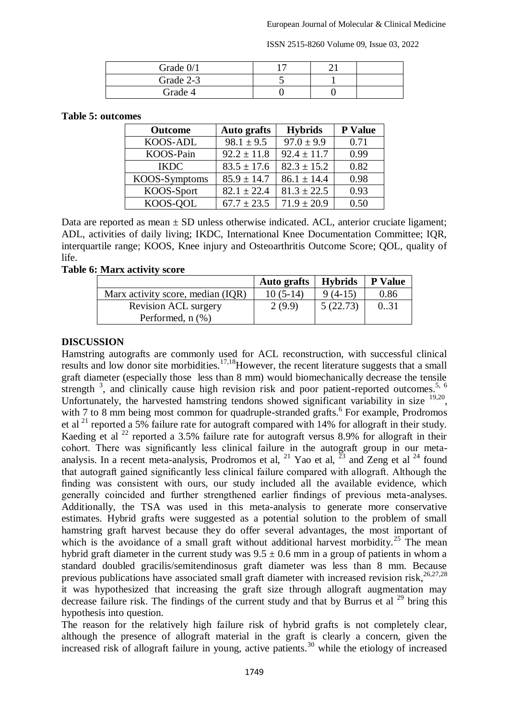ISSN 2515-8260 Volume 09, Issue 03, 2022

| Grade 0/1 |  |  |
|-----------|--|--|
| Grade 2-3 |  |  |
| Grade 4   |  |  |

#### **Table 5: outcomes**

| <b>Outcome</b>  | <b>Auto</b> grafts | <b>Hybrids</b>  | <b>P</b> Value |
|-----------------|--------------------|-----------------|----------------|
| <b>KOOS-ADL</b> | $98.1 \pm 9.5$     | $97.0 \pm 9.9$  | 0.71           |
| KOOS-Pain       | $92.2 \pm 11.8$    | $92.4 \pm 11.7$ | 0.99           |
| <b>IKDC</b>     | $83.5 \pm 17.6$    | $82.3 \pm 15.2$ | 0.82           |
| KOOS-Symptoms   | $85.9 \pm 14.7$    | $86.1 \pm 14.4$ | 0.98           |
| KOOS-Sport      | $82.1 \pm 22.4$    | $81.3 \pm 22.5$ | 0.93           |
| KOOS-QOL        | $67.7 \pm 23.5$    | $71.9 \pm 20.9$ | 0.50           |

Data are reported as mean  $\pm$  SD unless otherwise indicated. ACL, anterior cruciate ligament; ADL, activities of daily living; IKDC, International Knee Documentation Committee; IQR, interquartile range; KOOS, Knee injury and Osteoarthritis Outcome Score; QOL, quality of life.

#### **Table 6: Marx activity score**

|                                   | <b>Auto grafts</b> | <b>Hybrids</b> | <b>P</b> Value |
|-----------------------------------|--------------------|----------------|----------------|
| Marx activity score, median (IQR) | $10(5-14)$         | $9(4-15)$      | 0.86           |
| <b>Revision ACL surgery</b>       | 2(9.9)             | 5(22.73)       | 0.31           |
| Performed, $n$ $(\%)$             |                    |                |                |

### **DISCUSSION**

Hamstring autografts are commonly used for ACL reconstruction, with successful clinical results and low donor site morbidities.<sup>17,18</sup>However, the recent literature suggests that a small graft diameter (especially those less than 8 mm) would biomechanically decrease the tensile strength  $3$ , and clinically cause high revision risk and poor patient-reported outcomes.<sup>5, 6</sup> Unfortunately, the harvested hamstring tendons showed significant variability in size <sup>19,20</sup>, with 7 to 8 mm being most common for quadruple-stranded grafts.<sup>6</sup> For example, Prodromos et al <sup>21</sup> reported a 5% failure rate for autograft compared with 14% for allograft in their study. Kaeding et al  $^{22}$  reported a 3.5% failure rate for autograft versus 8.9% for allograft in their cohort. There was significantly less clinical failure in the autograft group in our metaanalysis. In a recent meta-analysis, Prodromos et al, <sup>21</sup> Yao et al,  $^{23}$  and Zeng et al <sup>24</sup> found that autograft gained significantly less clinical failure compared with allograft. Although the finding was consistent with ours, our study included all the available evidence, which generally coincided and further strengthened earlier findings of previous meta-analyses. Additionally, the TSA was used in this meta-analysis to generate more conservative estimates. Hybrid grafts were suggested as a potential solution to the problem of small hamstring graft harvest because they do offer several advantages, the most important of which is the avoidance of a small graft without additional harvest morbidity.<sup>25</sup> The mean hybrid graft diameter in the current study was  $9.5 \pm 0.6$  mm in a group of patients in whom a standard doubled gracilis/semitendinosus graft diameter was less than 8 mm. Because previous publications have associated small graft diameter with increased revision risk,<sup>26,27,28</sup> it was hypothesized that increasing the graft size through allograft augmentation may decrease failure risk. The findings of the current study and that by Burrus et al  $^{29}$  bring this hypothesis into question.

The reason for the relatively high failure risk of hybrid grafts is not completely clear, although the presence of allograft material in the graft is clearly a concern, given the increased risk of allograft failure in young, active patients.<sup>30</sup> while the etiology of increased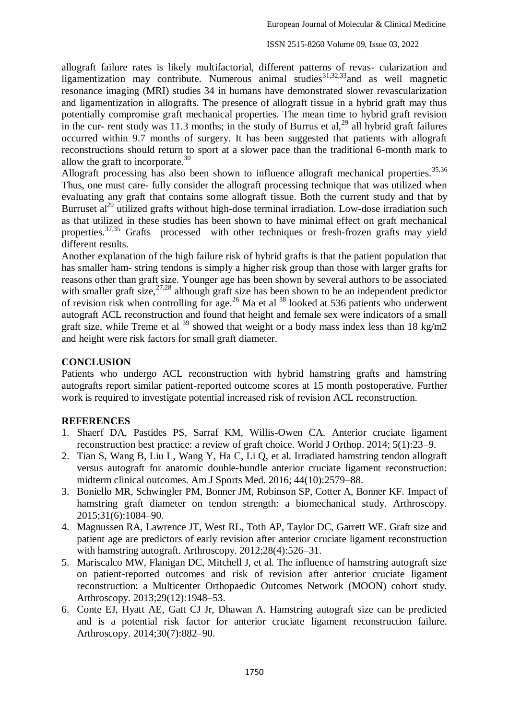allograft failure rates is likely multifactorial, different patterns of revas- cularization and ligamentization may contribute. Numerous animal studies $31,32,33$  and as well magnetic resonance imaging (MRI) studies 34 in humans have demonstrated slower revascularization and ligamentization in allografts. The presence of allograft tissue in a hybrid graft may thus potentially compromise graft mechanical properties. The mean time to hybrid graft revision in the cur- rent study was 11.3 months; in the study of Burrus et al,  $^{29}$  all hybrid graft failures occurred within 9.7 months of surgery. It has been suggested that patients with allograft reconstructions should return to sport at a slower pace than the traditional 6-month mark to allow the graft to incorporate. $30$ 

Allograft processing has also been shown to influence allograft mechanical properties.<sup>35,36</sup> Thus, one must care- fully consider the allograft processing technique that was utilized when evaluating any graft that contains some allograft tissue. Both the current study and that by Burruset al<sup>29</sup> utilized grafts without high-dose terminal irradiation. Low-dose irradiation such as that utilized in these studies has been shown to have minimal effect on graft mechanical properties.37,35 Grafts processed with other techniques or fresh-frozen grafts may yield different results.

Another explanation of the high failure risk of hybrid grafts is that the patient population that has smaller ham- string tendons is simply a higher risk group than those with larger grafts for reasons other than graft size. Younger age has been shown by several authors to be associated with smaller graft size,  $27.28$  although graft size has been shown to be an independent predictor of revision risk when controlling for age.<sup>26</sup> Ma et al.<sup>38</sup> looked at 536 patients who underwent autograft ACL reconstruction and found that height and female sex were indicators of a small graft size, while Treme et al  $^{39}$  showed that weight or a body mass index less than 18 kg/m2 and height were risk factors for small graft diameter.

## **CONCLUSION**

Patients who undergo ACL reconstruction with hybrid hamstring grafts and hamstring autografts report similar patient-reported outcome scores at 15 month postoperative. Further work is required to investigate potential increased risk of revision ACL reconstruction.

## **REFERENCES**

- 1. Shaerf DA, Pastides PS, Sarraf KM, Willis-Owen CA. Anterior cruciate ligament reconstruction best practice: a review of graft choice. World J Orthop. 2014; 5(1):23–9.
- 2. Tian S, Wang B, Liu L, Wang Y, Ha C, Li Q, et al. Irradiated hamstring tendon allograft versus autograft for anatomic double-bundle anterior cruciate ligament reconstruction: midterm clinical outcomes. Am J Sports Med. 2016; 44(10):2579–88.
- 3. Boniello MR, Schwingler PM, Bonner JM, Robinson SP, Cotter A, Bonner KF. Impact of hamstring graft diameter on tendon strength: a biomechanical study. Arthroscopy. 2015;31(6):1084–90.
- 4. Magnussen RA, Lawrence JT, West RL, Toth AP, Taylor DC, Garrett WE. Graft size and patient age are predictors of early revision after anterior cruciate ligament reconstruction with hamstring autograft. Arthroscopy. 2012;28(4):526–31.
- 5. Mariscalco MW, Flanigan DC, Mitchell J, et al. The influence of hamstring autograft size on patient-reported outcomes and risk of revision after anterior cruciate ligament reconstruction: a Multicenter Orthopaedic Outcomes Network (MOON) cohort study. Arthroscopy. 2013;29(12):1948–53.
- 6. Conte EJ, Hyatt AE, Gatt CJ Jr, Dhawan A. Hamstring autograft size can be predicted and is a potential risk factor for anterior cruciate ligament reconstruction failure. Arthroscopy. 2014;30(7):882–90.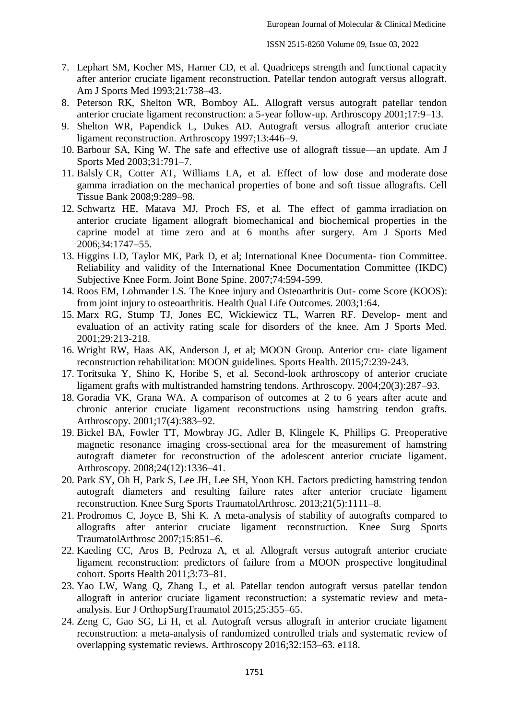- 7. Lephart SM, Kocher MS, Harner CD, et al. Quadriceps strength and functional capacity after anterior cruciate ligament reconstruction. Patellar tendon autograft versus allograft. Am J Sports Med 1993;21:738–43.
- 8. Peterson RK, Shelton WR, Bomboy AL. Allograft versus autograft patellar tendon anterior cruciate ligament reconstruction: a 5-year follow-up. Arthroscopy 2001;17:9–13.
- 9. Shelton WR, Papendick L, Dukes AD. Autograft versus allograft anterior cruciate ligament reconstruction. Arthroscopy 1997;13:446–9.
- 10. Barbour SA, King W. The safe and effective use of allograft tissue—an update. Am J Sports Med 2003;31:791–7.
- 11. Balsly CR, Cotter AT, Williams LA, et al. Effect of low dose and moderate dose gamma irradiation on the mechanical properties of bone and soft tissue allografts. Cell Tissue Bank 2008;9:289–98.
- 12. Schwartz HE, Matava MJ, Proch FS, et al. The effect of gamma irradiation on anterior cruciate ligament allograft biomechanical and biochemical properties in the caprine model at time zero and at 6 months after surgery. Am J Sports Med 2006;34:1747–55.
- 13. Higgins LD, Taylor MK, Park D, et al; International Knee Documenta- tion Committee. Reliability and validity of the International Knee Documentation Committee (IKDC) Subjective Knee Form. Joint Bone Spine. 2007;74:594-599.
- 14. Roos EM, Lohmander LS. The Knee injury and Osteoarthritis Out- come Score (KOOS): from joint injury to osteoarthritis. Health Qual Life Outcomes. 2003;1:64.
- 15. Marx RG, Stump TJ, Jones EC, Wickiewicz TL, Warren RF. Develop- ment and evaluation of an activity rating scale for disorders of the knee. Am J Sports Med. 2001;29:213-218.
- 16. Wright RW, Haas AK, Anderson J, et al; MOON Group. Anterior cru- ciate ligament reconstruction rehabilitation: MOON guidelines. Sports Health. 2015;7:239-243.
- 17. Toritsuka Y, Shino K, Horibe S, et al. Second-look arthroscopy of anterior cruciate ligament grafts with multistranded hamstring tendons. Arthroscopy. 2004;20(3):287–93.
- 18. Goradia VK, Grana WA. A comparison of outcomes at 2 to 6 years after acute and chronic anterior cruciate ligament reconstructions using hamstring tendon grafts. Arthroscopy. 2001;17(4):383–92.
- 19. Bickel BA, Fowler TT, Mowbray JG, Adler B, Klingele K, Phillips G. Preoperative magnetic resonance imaging cross-sectional area for the measurement of hamstring autograft diameter for reconstruction of the adolescent anterior cruciate ligament. Arthroscopy. 2008;24(12):1336–41.
- 20. Park SY, Oh H, Park S, Lee JH, Lee SH, Yoon KH. Factors predicting hamstring tendon autograft diameters and resulting failure rates after anterior cruciate ligament reconstruction. Knee Surg Sports TraumatolArthrosc. 2013;21(5):1111–8.
- 21. Prodromos C, Joyce B, Shi K. A meta-analysis of stability of autografts compared to allografts after anterior cruciate ligament reconstruction. Knee Surg Sports TraumatolArthrosc 2007;15:851–6.
- 22. Kaeding CC, Aros B, Pedroza A, et al. Allograft versus autograft anterior cruciate ligament reconstruction: predictors of failure from a MOON prospective longitudinal cohort. Sports Health 2011;3:73–81.
- 23. Yao LW, Wang Q, Zhang L, et al. Patellar tendon autograft versus patellar tendon allograft in anterior cruciate ligament reconstruction: a systematic review and metaanalysis. Eur J OrthopSurgTraumatol 2015;25:355–65.
- 24. Zeng C, Gao SG, Li H, et al. Autograft versus allograft in anterior cruciate ligament reconstruction: a meta-analysis of randomized controlled trials and systematic review of overlapping systematic reviews. Arthroscopy 2016;32:153–63. e118.